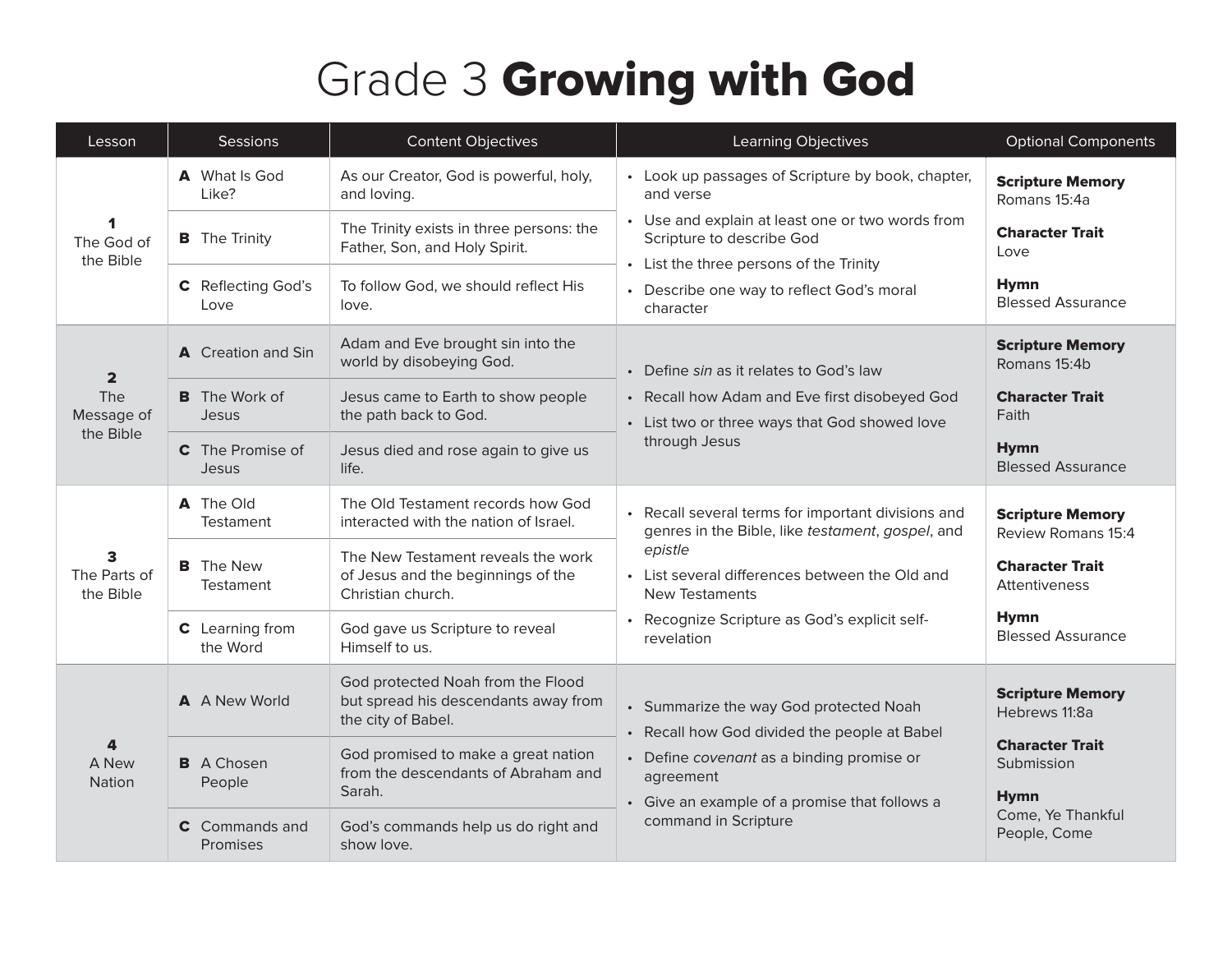## Grade 3 Growing with God

| Lesson                                           | Sessions                             | <b>Content Objectives</b>                                                                       | Learning Objectives                                                                                                                                                                                                                                       | <b>Optional Components</b>                          |
|--------------------------------------------------|--------------------------------------|-------------------------------------------------------------------------------------------------|-----------------------------------------------------------------------------------------------------------------------------------------------------------------------------------------------------------------------------------------------------------|-----------------------------------------------------|
| The God of<br>the Bible                          | A What Is God<br>Like?               | As our Creator, God is powerful, holy,<br>and loving.                                           | • Look up passages of Scripture by book, chapter,<br>and verse                                                                                                                                                                                            | <b>Scripture Memory</b><br>Romans 15:4a             |
|                                                  | <b>B</b> The Trinity                 | The Trinity exists in three persons: the<br>Father, Son, and Holy Spirit.                       | • Use and explain at least one or two words from<br>Scripture to describe God<br>• List the three persons of the Trinity<br>• Describe one way to reflect God's moral<br>character                                                                        | <b>Character Trait</b><br>Love                      |
|                                                  | <b>C</b> Reflecting God's<br>Love    | To follow God, we should reflect His<br>love.                                                   |                                                                                                                                                                                                                                                           | <b>Hymn</b><br><b>Blessed Assurance</b>             |
| $\overline{2}$<br>The<br>Message of<br>the Bible | A Creation and Sin                   | Adam and Eve brought sin into the<br>world by disobeying God.                                   | • Define sin as it relates to God's law                                                                                                                                                                                                                   | <b>Scripture Memory</b><br>Romans 15:4b             |
|                                                  | <b>B</b> The Work of<br><b>Jesus</b> | Jesus came to Earth to show people<br>the path back to God.                                     | • Recall how Adam and Eve first disobeyed God<br>• List two or three ways that God showed love<br>through Jesus                                                                                                                                           | <b>Character Trait</b><br>Faith                     |
|                                                  | <b>C</b> The Promise of<br>Jesus     | Jesus died and rose again to give us<br>life.                                                   |                                                                                                                                                                                                                                                           | <b>Hymn</b><br><b>Blessed Assurance</b>             |
|                                                  | A The Old<br>Testament               | The Old Testament records how God<br>interacted with the nation of Israel.                      | • Recall several terms for important divisions and<br>genres in the Bible, like testament, gospel, and<br>epistle<br>• List several differences between the Old and<br><b>New Testaments</b><br>Recognize Scripture as God's explicit self-<br>revelation | <b>Scripture Memory</b><br>Review Romans 15:4       |
| 3<br>The Parts of<br>the Bible                   | <b>B</b> The New<br><b>Testament</b> | The New Testament reveals the work<br>of Jesus and the beginnings of the<br>Christian church.   |                                                                                                                                                                                                                                                           | <b>Character Trait</b><br>Attentiveness             |
|                                                  | C Learning from<br>the Word          | God gave us Scripture to reveal<br>Himself to us.                                               |                                                                                                                                                                                                                                                           | <b>Hymn</b><br><b>Blessed Assurance</b>             |
| 4<br>A New<br>Nation                             | A A New World                        | God protected Noah from the Flood<br>but spread his descendants away from<br>the city of Babel. | • Summarize the way God protected Noah<br>• Recall how God divided the people at Babel                                                                                                                                                                    | <b>Scripture Memory</b><br>Hebrews 11:8a            |
|                                                  | <b>B</b> A Chosen<br>People          | God promised to make a great nation<br>from the descendants of Abraham and<br>Sarah.            | • Define covenant as a binding promise or<br>agreement                                                                                                                                                                                                    | <b>Character Trait</b><br>Submission<br><b>Hymn</b> |
|                                                  | <b>C</b> Commands and<br>Promises    | God's commands help us do right and<br>show love.                                               | • Give an example of a promise that follows a<br>command in Scripture                                                                                                                                                                                     | Come, Ye Thankful<br>People, Come                   |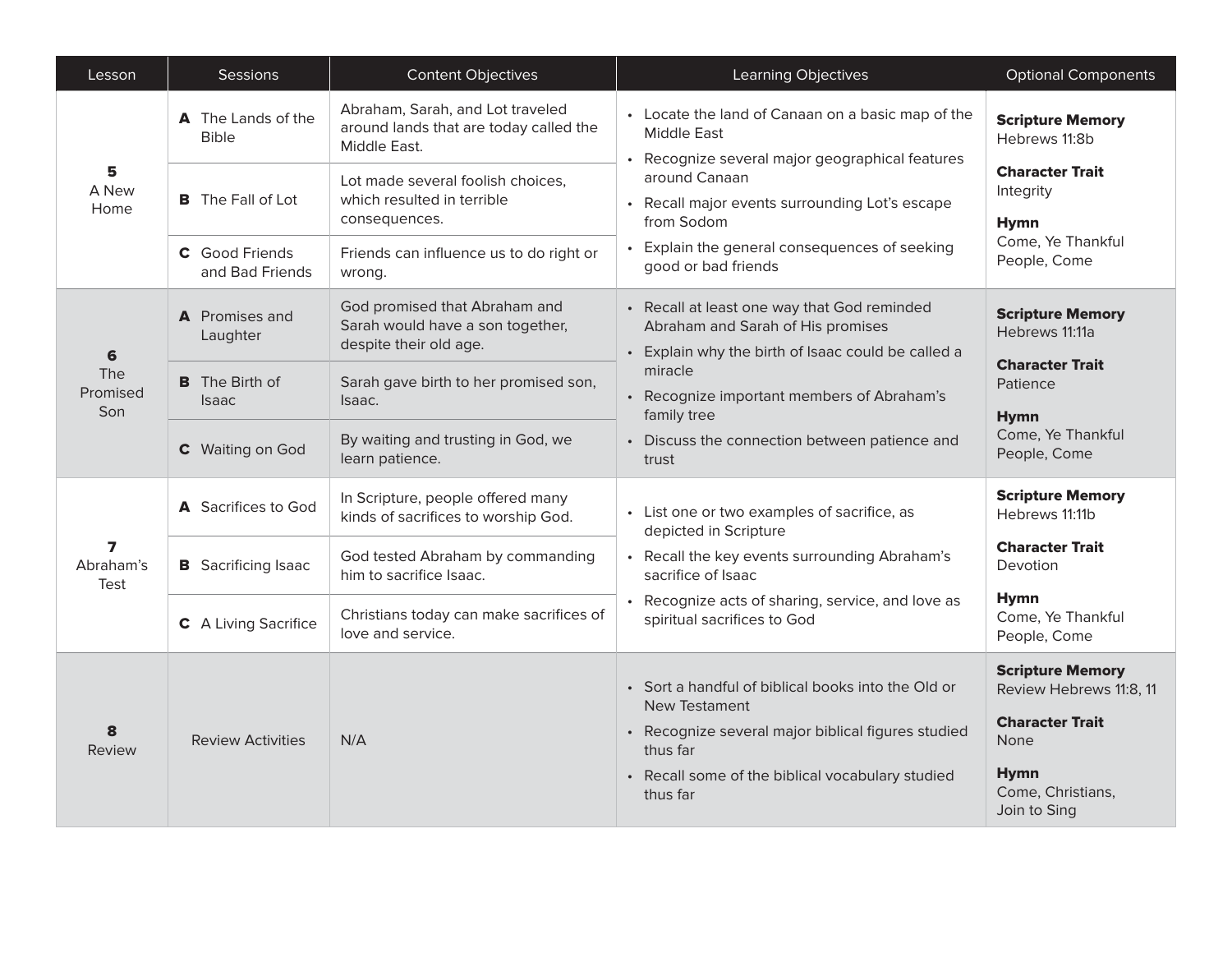| Lesson                                       | Sessions                                  | <b>Content Objectives</b>                                                                   | Learning Objectives                                                                                                                    | <b>Optional Components</b>                         |
|----------------------------------------------|-------------------------------------------|---------------------------------------------------------------------------------------------|----------------------------------------------------------------------------------------------------------------------------------------|----------------------------------------------------|
| 5<br>A New<br>Home                           | <b>A</b> The Lands of the<br><b>Bible</b> | Abraham, Sarah, and Lot traveled<br>around lands that are today called the<br>Middle East.  | • Locate the land of Canaan on a basic map of the<br><b>Middle East</b><br>• Recognize several major geographical features             | <b>Scripture Memory</b><br>Hebrews 11:8b           |
|                                              | <b>B</b> The Fall of Lot                  | Lot made several foolish choices,<br>which resulted in terrible<br>consequences.            | around Canaan<br>• Recall major events surrounding Lot's escape<br>from Sodom                                                          | <b>Character Trait</b><br>Integrity<br><b>Hymn</b> |
|                                              | <b>C</b> Good Friends<br>and Bad Friends  | Friends can influence us to do right or<br>wrong.                                           | Explain the general consequences of seeking<br>good or bad friends                                                                     | Come, Ye Thankful<br>People, Come                  |
| 6<br>The<br>Promised<br>Son                  | <b>A</b> Promises and<br>Laughter         | God promised that Abraham and<br>Sarah would have a son together,<br>despite their old age. | • Recall at least one way that God reminded<br>Abraham and Sarah of His promises<br>• Explain why the birth of Isaac could be called a | <b>Scripture Memory</b><br>Hebrews 11:11a          |
|                                              | <b>B</b> The Birth of<br><b>Isaac</b>     | Sarah gave birth to her promised son,<br>Isaac.                                             | miracle<br>• Recognize important members of Abraham's<br>family tree                                                                   | <b>Character Trait</b><br>Patience<br><b>Hymn</b>  |
|                                              | C Waiting on God                          | By waiting and trusting in God, we<br>learn patience.                                       | • Discuss the connection between patience and<br>trust                                                                                 | Come, Ye Thankful<br>People, Come                  |
|                                              | A Sacrifices to God                       | In Scripture, people offered many<br>kinds of sacrifices to worship God.                    | • List one or two examples of sacrifice, as<br>depicted in Scripture                                                                   | <b>Scripture Memory</b><br>Hebrews 11:11b          |
| $\overline{\mathbf{z}}$<br>Abraham's<br>Test | <b>B</b> Sacrificing Isaac                | God tested Abraham by commanding<br>him to sacrifice Isaac.                                 | • Recall the key events surrounding Abraham's<br>sacrifice of Isaac                                                                    | <b>Character Trait</b><br>Devotion                 |
|                                              | C A Living Sacrifice                      | Christians today can make sacrifices of<br>love and service.                                | • Recognize acts of sharing, service, and love as<br>spiritual sacrifices to God                                                       | <b>Hymn</b><br>Come, Ye Thankful<br>People, Come   |
| 8<br>Review                                  |                                           |                                                                                             | • Sort a handful of biblical books into the Old or<br>New Testament                                                                    | <b>Scripture Memory</b><br>Review Hebrews 11:8, 11 |
|                                              | <b>Review Activities</b>                  | N/A                                                                                         | • Recognize several major biblical figures studied<br>thus far                                                                         | <b>Character Trait</b><br>None                     |
|                                              |                                           |                                                                                             | • Recall some of the biblical vocabulary studied<br>thus far                                                                           | <b>Hymn</b><br>Come, Christians,<br>Join to Sing   |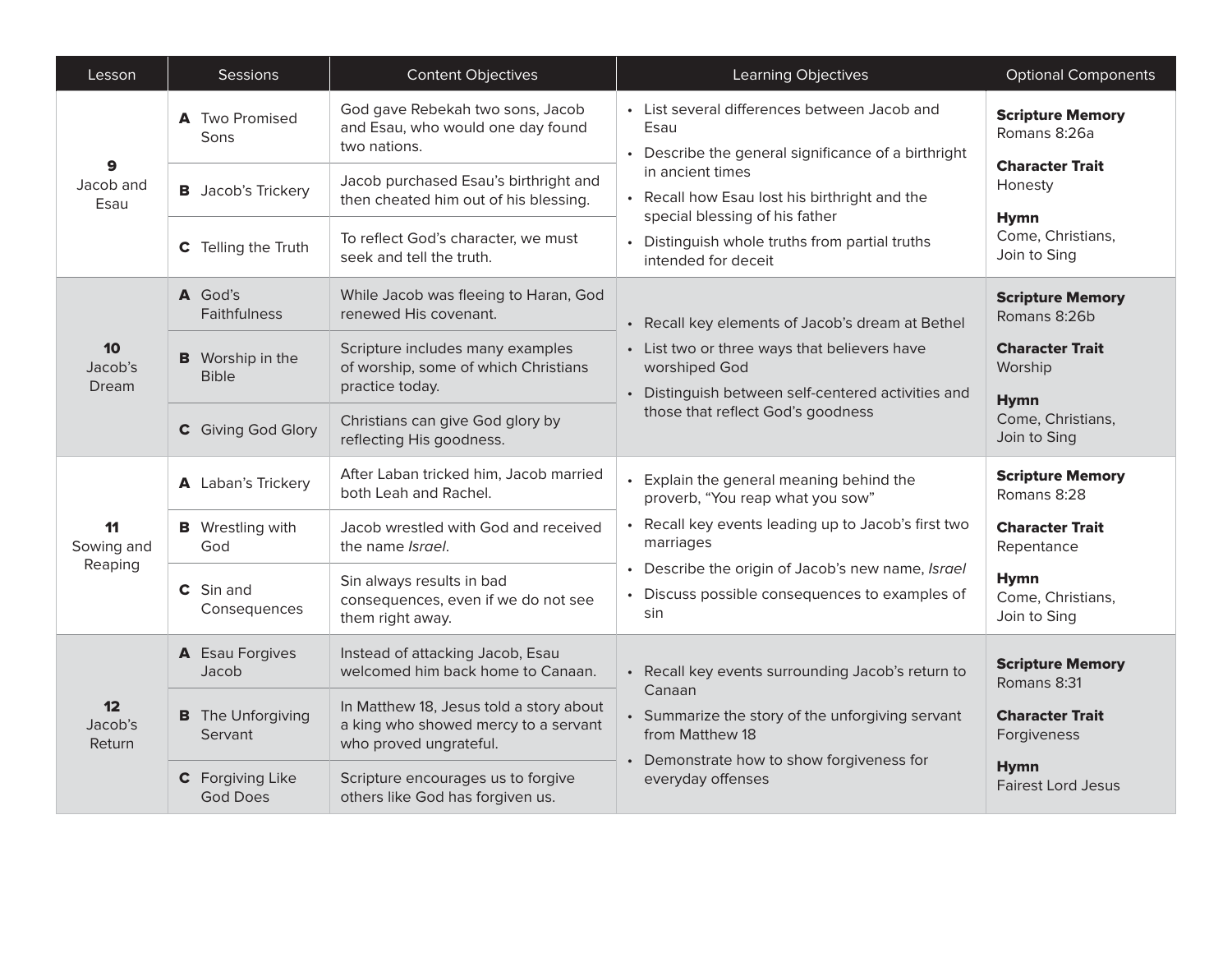| Lesson                               | Sessions                                | <b>Content Objectives</b>                                                                                 | Learning Objectives                                                                                                                                                                                          | <b>Optional Components</b>                                        |
|--------------------------------------|-----------------------------------------|-----------------------------------------------------------------------------------------------------------|--------------------------------------------------------------------------------------------------------------------------------------------------------------------------------------------------------------|-------------------------------------------------------------------|
| 9<br>Jacob and<br>Esau               | A Two Promised<br>Sons                  | God gave Rebekah two sons, Jacob<br>and Esau, who would one day found<br>two nations.                     | • List several differences between Jacob and<br>Esau<br>• Describe the general significance of a birthright                                                                                                  | <b>Scripture Memory</b><br>Romans 8:26a<br><b>Character Trait</b> |
|                                      | <b>B</b> Jacob's Trickery               | Jacob purchased Esau's birthright and<br>then cheated him out of his blessing.                            | in ancient times<br>• Recall how Esau lost his birthright and the<br>special blessing of his father                                                                                                          | Honesty                                                           |
|                                      | C Telling the Truth                     | To reflect God's character, we must<br>seek and tell the truth.                                           | • Distinguish whole truths from partial truths<br>intended for deceit                                                                                                                                        | <b>Hymn</b><br>Come, Christians,<br>Join to Sing                  |
| 10<br>Jacob's<br>Dream               | A God's<br><b>Faithfulness</b>          | While Jacob was fleeing to Haran, God<br>renewed His covenant.                                            | • Recall key elements of Jacob's dream at Bethel<br>• List two or three ways that believers have<br>worshiped God<br>• Distinguish between self-centered activities and<br>those that reflect God's goodness | <b>Scripture Memory</b><br>Romans 8:26b                           |
|                                      | <b>B</b> Worship in the<br><b>Bible</b> | Scripture includes many examples<br>of worship, some of which Christians<br>practice today.               |                                                                                                                                                                                                              | <b>Character Trait</b><br>Worship<br><b>Hymn</b>                  |
|                                      | C Giving God Glory                      | Christians can give God glory by<br>reflecting His goodness.                                              |                                                                                                                                                                                                              | Come, Christians,<br>Join to Sing                                 |
|                                      | A Laban's Trickery                      | After Laban tricked him, Jacob married<br>both Leah and Rachel.                                           | Explain the general meaning behind the<br>proverb, "You reap what you sow"                                                                                                                                   | <b>Scripture Memory</b><br>Romans 8:28                            |
| 11<br>Sowing and                     | <b>B</b> Wrestling with<br>God          | Jacob wrestled with God and received<br>the name <i>Israel</i> .                                          | Recall key events leading up to Jacob's first two<br>marriages                                                                                                                                               | <b>Character Trait</b><br>Repentance                              |
| Reaping                              | C Sin and<br>Consequences               | Sin always results in bad<br>consequences, even if we do not see<br>them right away.                      | Describe the origin of Jacob's new name, Israel<br>Discuss possible consequences to examples of<br>sin                                                                                                       | <b>Hymn</b><br>Come, Christians,<br>Join to Sing                  |
|                                      | A Esau Forgives<br>Jacob                | Instead of attacking Jacob, Esau<br>welcomed him back home to Canaan.                                     | • Recall key events surrounding Jacob's return to                                                                                                                                                            | <b>Scripture Memory</b><br>Romans 8:31                            |
| 12 <sub>2</sub><br>Jacob's<br>Return | <b>B</b> The Unforgiving<br>Servant     | In Matthew 18, Jesus told a story about<br>a king who showed mercy to a servant<br>who proved ungrateful. | Canaan<br>• Summarize the story of the unforgiving servant<br>from Matthew 18                                                                                                                                | <b>Character Trait</b><br>Forgiveness                             |
|                                      | C Forgiving Like<br><b>God Does</b>     | Scripture encourages us to forgive<br>others like God has forgiven us.                                    | • Demonstrate how to show forgiveness for<br>everyday offenses                                                                                                                                               | <b>Hymn</b><br><b>Fairest Lord Jesus</b>                          |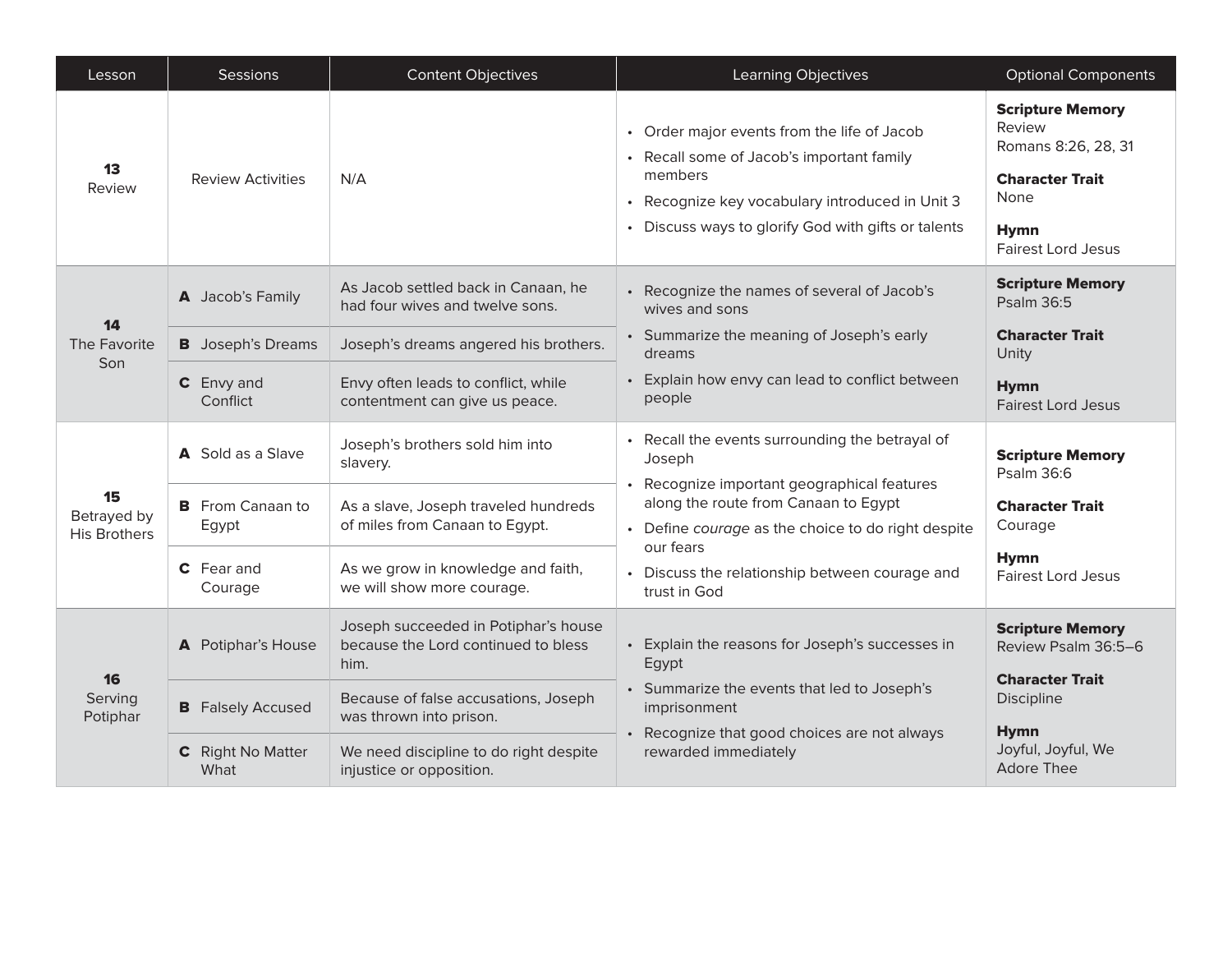| Lesson                                   | Sessions                         | <b>Content Objectives</b>                                                           | <b>Learning Objectives</b>                                                                                                                                                                                                                                                          | <b>Optional Components</b>                                                                                                             |
|------------------------------------------|----------------------------------|-------------------------------------------------------------------------------------|-------------------------------------------------------------------------------------------------------------------------------------------------------------------------------------------------------------------------------------------------------------------------------------|----------------------------------------------------------------------------------------------------------------------------------------|
| 13<br>Review                             | <b>Review Activities</b>         | N/A                                                                                 | • Order major events from the life of Jacob<br>• Recall some of Jacob's important family<br>members<br>• Recognize key vocabulary introduced in Unit 3<br>• Discuss ways to glorify God with gifts or talents                                                                       | <b>Scripture Memory</b><br>Review<br>Romans 8:26, 28, 31<br><b>Character Trait</b><br>None<br><b>Hymn</b><br><b>Fairest Lord Jesus</b> |
| 14<br>The Favorite<br>Son                | A Jacob's Family                 | As Jacob settled back in Canaan, he<br>had four wives and twelve sons.              | • Recognize the names of several of Jacob's<br>wives and sons                                                                                                                                                                                                                       | <b>Scripture Memory</b><br>Psalm 36:5                                                                                                  |
|                                          | <b>B</b> Joseph's Dreams         | Joseph's dreams angered his brothers.                                               | • Summarize the meaning of Joseph's early<br>dreams<br>• Explain how envy can lead to conflict between<br>people                                                                                                                                                                    | <b>Character Trait</b><br>Unity                                                                                                        |
|                                          | C Envy and<br>Conflict           | Envy often leads to conflict, while<br>contentment can give us peace.               |                                                                                                                                                                                                                                                                                     | <b>Hymn</b><br><b>Fairest Lord Jesus</b>                                                                                               |
|                                          | A Sold as a Slave                | Joseph's brothers sold him into<br>slavery.                                         | • Recall the events surrounding the betrayal of<br>Joseph<br>Recognize important geographical features<br>along the route from Canaan to Egypt<br>• Define courage as the choice to do right despite<br>our fears<br>• Discuss the relationship between courage and<br>trust in God | <b>Scripture Memory</b><br>Psalm 36:6                                                                                                  |
| 15<br>Betrayed by<br><b>His Brothers</b> | <b>B</b> From Canaan to<br>Egypt | As a slave, Joseph traveled hundreds<br>of miles from Canaan to Egypt.              |                                                                                                                                                                                                                                                                                     | <b>Character Trait</b><br>Courage                                                                                                      |
|                                          | C Fear and<br>Courage            | As we grow in knowledge and faith,<br>we will show more courage.                    |                                                                                                                                                                                                                                                                                     | <b>Hymn</b><br><b>Fairest Lord Jesus</b>                                                                                               |
| 16<br>Serving<br>Potiphar                | A Potiphar's House               | Joseph succeeded in Potiphar's house<br>because the Lord continued to bless<br>him. | • Explain the reasons for Joseph's successes in<br>Egypt                                                                                                                                                                                                                            | <b>Scripture Memory</b><br>Review Psalm 36:5-6                                                                                         |
|                                          | <b>B</b> Falsely Accused         | Because of false accusations, Joseph<br>was thrown into prison.                     | • Summarize the events that led to Joseph's<br>imprisonment                                                                                                                                                                                                                         | <b>Character Trait</b><br><b>Discipline</b>                                                                                            |
|                                          | C Right No Matter<br>What        | We need discipline to do right despite<br>injustice or opposition.                  | • Recognize that good choices are not always<br>rewarded immediately                                                                                                                                                                                                                | <b>Hymn</b><br>Joyful, Joyful, We<br><b>Adore Thee</b>                                                                                 |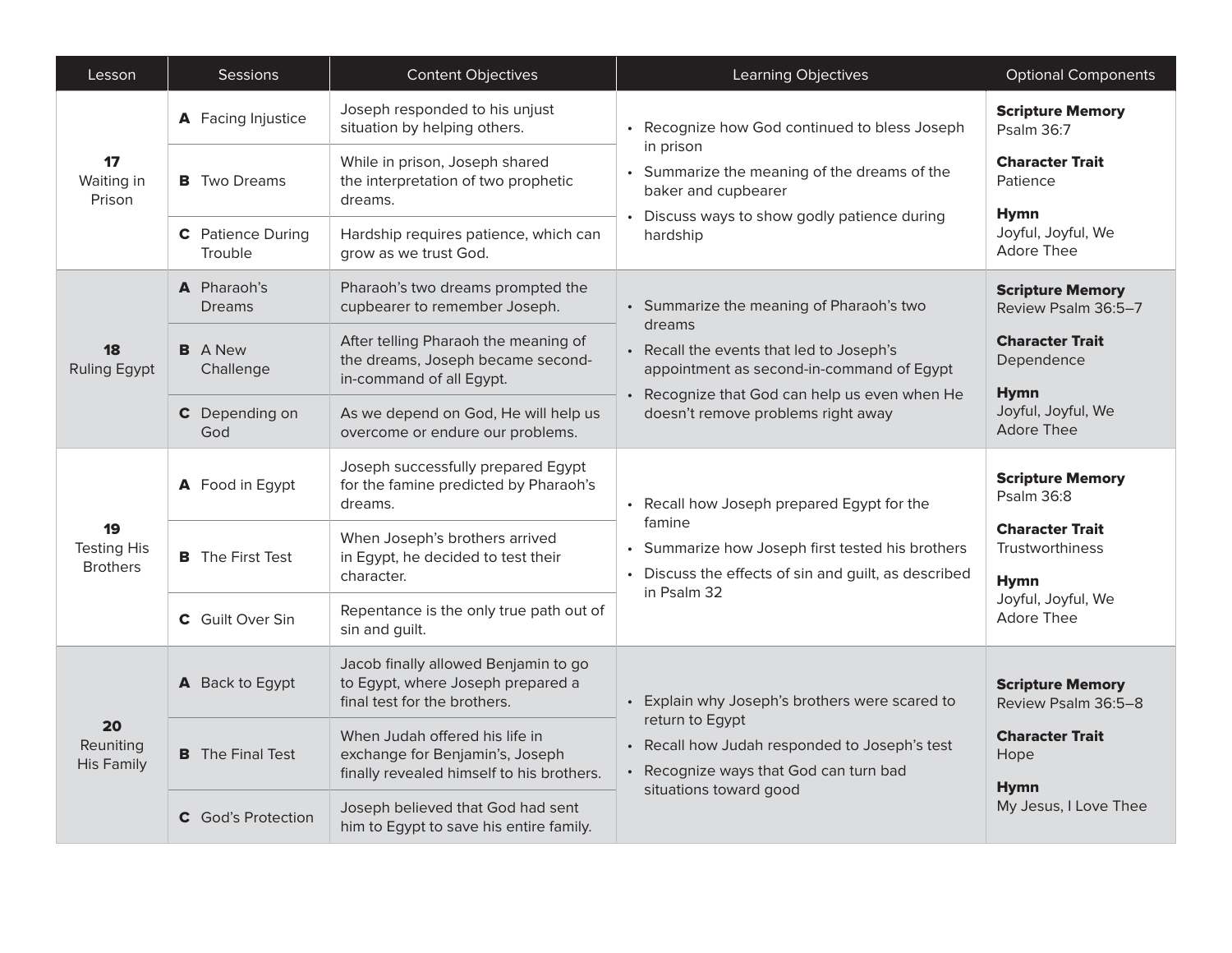| Lesson                                      | Sessions                     | <b>Content Objectives</b>                                                                                      | Learning Objectives                                                                                                                                                                                                                | <b>Optional Components</b>                               |
|---------------------------------------------|------------------------------|----------------------------------------------------------------------------------------------------------------|------------------------------------------------------------------------------------------------------------------------------------------------------------------------------------------------------------------------------------|----------------------------------------------------------|
| 17<br>Waiting in<br>Prison                  | A Facing Injustice           | Joseph responded to his unjust<br>situation by helping others.                                                 | • Recognize how God continued to bless Joseph<br>in prison<br>• Summarize the meaning of the dreams of the<br>baker and cupbearer<br>• Discuss ways to show godly patience during<br>hardship                                      | <b>Scripture Memory</b><br>Psalm 36:7                    |
|                                             | <b>B</b> Two Dreams          | While in prison, Joseph shared<br>the interpretation of two prophetic<br>dreams.                               |                                                                                                                                                                                                                                    | <b>Character Trait</b><br>Patience                       |
|                                             | C Patience During<br>Trouble | Hardship requires patience, which can<br>grow as we trust God.                                                 |                                                                                                                                                                                                                                    | <b>Hymn</b><br>Joyful, Joyful, We<br><b>Adore Thee</b>   |
| 18<br><b>Ruling Egypt</b>                   | A Pharaoh's<br><b>Dreams</b> | Pharaoh's two dreams prompted the<br>cupbearer to remember Joseph.                                             | • Summarize the meaning of Pharaoh's two<br>dreams<br>• Recall the events that led to Joseph's<br>appointment as second-in-command of Egypt<br>• Recognize that God can help us even when He<br>doesn't remove problems right away | <b>Scripture Memory</b><br>Review Psalm 36:5-7           |
|                                             | <b>B</b> A New<br>Challenge  | After telling Pharaoh the meaning of<br>the dreams, Joseph became second-<br>in-command of all Egypt.          |                                                                                                                                                                                                                                    | <b>Character Trait</b><br>Dependence<br><b>Hymn</b>      |
|                                             | C Depending on<br>God        | As we depend on God, He will help us<br>overcome or endure our problems.                                       |                                                                                                                                                                                                                                    | Joyful, Joyful, We<br><b>Adore Thee</b>                  |
|                                             | A Food in Egypt              | Joseph successfully prepared Egypt<br>for the famine predicted by Pharaoh's<br>dreams.                         | Recall how Joseph prepared Egypt for the<br>famine<br>Summarize how Joseph first tested his brothers<br>• Discuss the effects of sin and guilt, as described<br>in Psalm 32                                                        | <b>Scripture Memory</b><br>Psalm 36:8                    |
| 19<br><b>Testing His</b><br><b>Brothers</b> | <b>B</b> The First Test      | When Joseph's brothers arrived<br>in Egypt, he decided to test their<br>character.                             |                                                                                                                                                                                                                                    | <b>Character Trait</b><br>Trustworthiness<br><b>Hymn</b> |
|                                             | C Guilt Over Sin             | Repentance is the only true path out of<br>sin and guilt.                                                      |                                                                                                                                                                                                                                    | Joyful, Joyful, We<br><b>Adore Thee</b>                  |
| 20<br>Reuniting<br><b>His Family</b>        | A Back to Egypt              | Jacob finally allowed Benjamin to go<br>to Egypt, where Joseph prepared a<br>final test for the brothers.      | Explain why Joseph's brothers were scared to<br>$\bullet$<br>return to Egypt<br>• Recall how Judah responded to Joseph's test<br>• Recognize ways that God can turn bad<br>situations toward good                                  | <b>Scripture Memory</b><br>Review Psalm 36:5-8           |
|                                             | <b>B</b> The Final Test      | When Judah offered his life in<br>exchange for Benjamin's, Joseph<br>finally revealed himself to his brothers. |                                                                                                                                                                                                                                    | <b>Character Trait</b><br>Hope<br><b>Hymn</b>            |
|                                             | <b>C</b> God's Protection    | Joseph believed that God had sent<br>him to Egypt to save his entire family.                                   |                                                                                                                                                                                                                                    | My Jesus, I Love Thee                                    |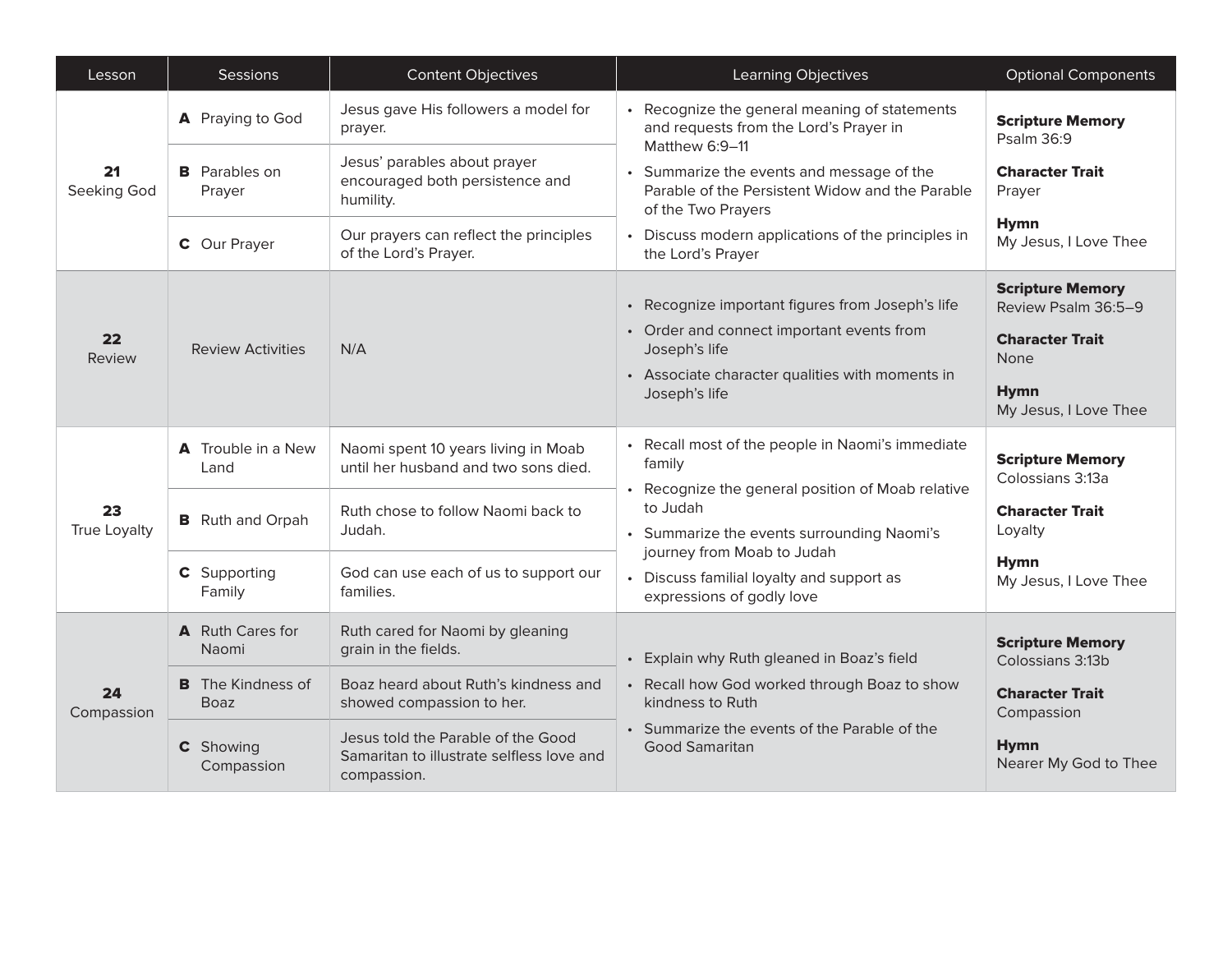| Lesson                    | Sessions                                              | <b>Content Objectives</b>                                                                                                   | <b>Learning Objectives</b>                                                                                                                                                                                                                                                    | <b>Optional Components</b>                                                                                                      |
|---------------------------|-------------------------------------------------------|-----------------------------------------------------------------------------------------------------------------------------|-------------------------------------------------------------------------------------------------------------------------------------------------------------------------------------------------------------------------------------------------------------------------------|---------------------------------------------------------------------------------------------------------------------------------|
| 21<br>Seeking God         | A Praying to God                                      | Jesus gave His followers a model for<br>prayer.                                                                             | Recognize the general meaning of statements<br>and requests from the Lord's Prayer in<br>Matthew 6:9-11                                                                                                                                                                       | <b>Scripture Memory</b><br>Psalm 36:9                                                                                           |
|                           | <b>B</b> Parables on<br>Prayer                        | Jesus' parables about prayer<br>encouraged both persistence and<br>humility.                                                | • Summarize the events and message of the<br>Parable of the Persistent Widow and the Parable<br>of the Two Prayers<br>• Discuss modern applications of the principles in<br>the Lord's Prayer                                                                                 | <b>Character Trait</b><br>Prayer                                                                                                |
|                           | <b>C</b> Our Prayer                                   | Our prayers can reflect the principles<br>of the Lord's Prayer.                                                             |                                                                                                                                                                                                                                                                               | <b>Hymn</b><br>My Jesus, I Love Thee                                                                                            |
| 22<br>Review              | <b>Review Activities</b>                              | N/A                                                                                                                         | • Recognize important figures from Joseph's life<br>• Order and connect important events from<br>Joseph's life<br>• Associate character qualities with moments in<br>Joseph's life                                                                                            | <b>Scripture Memory</b><br>Review Psalm 36:5-9<br><b>Character Trait</b><br><b>None</b><br><b>Hymn</b><br>My Jesus, I Love Thee |
| 23<br><b>True Loyalty</b> | A Trouble in a New<br>Land<br><b>B</b> Ruth and Orpah | Naomi spent 10 years living in Moab<br>until her husband and two sons died.<br>Ruth chose to follow Naomi back to<br>Judah. | Recall most of the people in Naomi's immediate<br>family<br>Recognize the general position of Moab relative<br>to Judah<br>• Summarize the events surrounding Naomi's<br>journey from Moab to Judah<br>• Discuss familial loyalty and support as<br>expressions of godly love | <b>Scripture Memory</b><br>Colossians 3:13a<br><b>Character Trait</b><br>Loyalty                                                |
|                           | <b>C</b> Supporting<br>Family                         | God can use each of us to support our<br>families.                                                                          |                                                                                                                                                                                                                                                                               | <b>Hymn</b><br>My Jesus, I Love Thee                                                                                            |
| 24<br>Compassion          | A Ruth Cares for<br>Naomi                             | Ruth cared for Naomi by gleaning<br>grain in the fields.                                                                    | • Explain why Ruth gleaned in Boaz's field<br>• Recall how God worked through Boaz to show<br>kindness to Ruth                                                                                                                                                                | <b>Scripture Memory</b><br>Colossians 3:13b                                                                                     |
|                           | <b>B</b> The Kindness of<br><b>Boaz</b>               | Boaz heard about Ruth's kindness and<br>showed compassion to her.                                                           |                                                                                                                                                                                                                                                                               | <b>Character Trait</b><br>Compassion                                                                                            |
|                           | <b>C</b> Showing<br>Compassion                        | Jesus told the Parable of the Good<br>Samaritan to illustrate selfless love and<br>compassion.                              | • Summarize the events of the Parable of the<br><b>Good Samaritan</b>                                                                                                                                                                                                         | <b>Hymn</b><br>Nearer My God to Thee                                                                                            |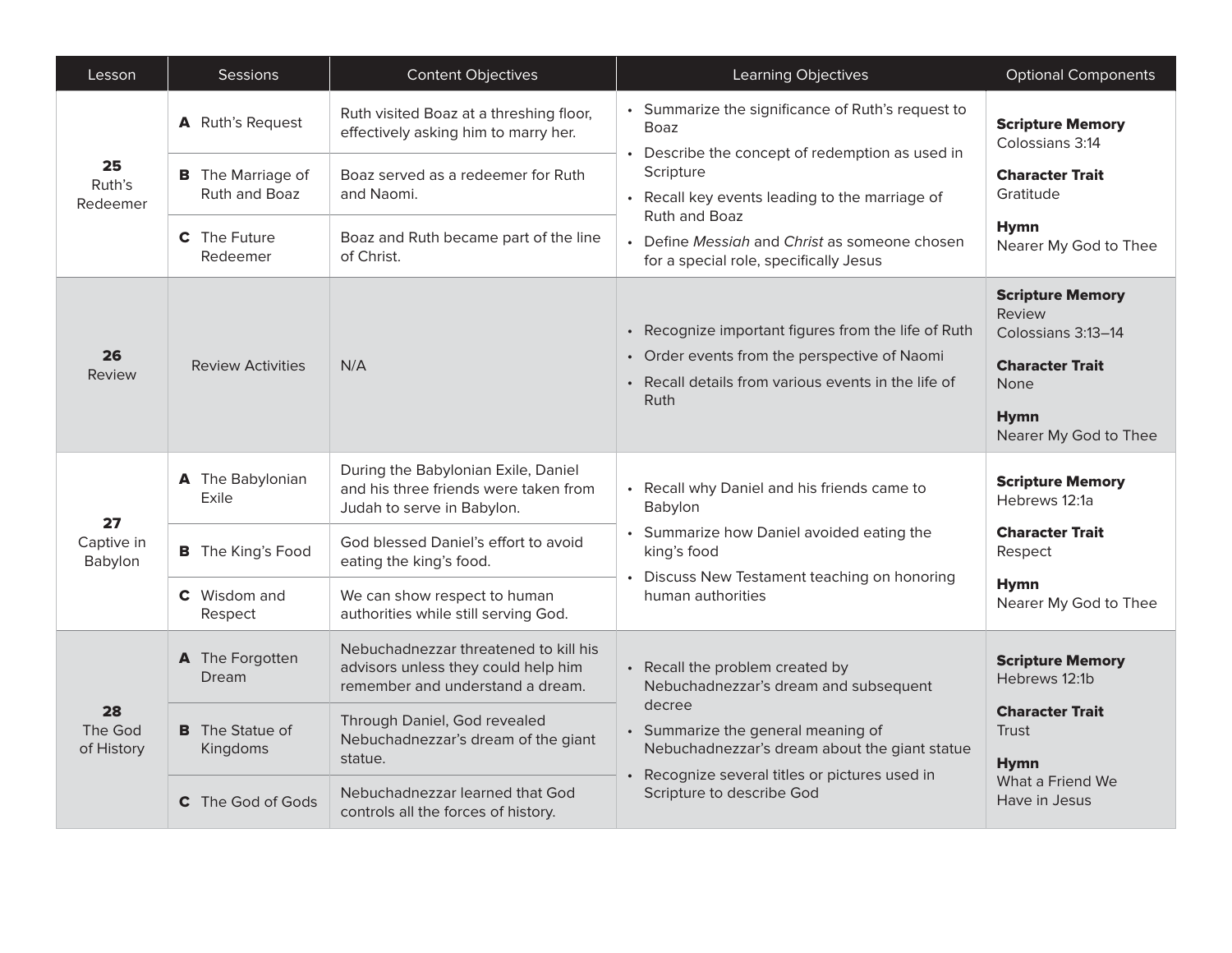| Lesson                      | <b>Sessions</b>                                               | <b>Content Objectives</b>                                                                                                           | <b>Learning Objectives</b>                                                                                                                                                                                                                             | <b>Optional Components</b>                                                                                                               |
|-----------------------------|---------------------------------------------------------------|-------------------------------------------------------------------------------------------------------------------------------------|--------------------------------------------------------------------------------------------------------------------------------------------------------------------------------------------------------------------------------------------------------|------------------------------------------------------------------------------------------------------------------------------------------|
| 25<br>Ruth's<br>Redeemer    | A Ruth's Request<br><b>B</b> The Marriage of<br>Ruth and Boaz | Ruth visited Boaz at a threshing floor,<br>effectively asking him to marry her.<br>Boaz served as a redeemer for Ruth<br>and Naomi. | • Summarize the significance of Ruth's request to<br>Boaz<br>Describe the concept of redemption as used in<br>Scripture<br>Recall key events leading to the marriage of<br>Ruth and Boaz                                                               | <b>Scripture Memory</b><br>Colossians 3:14<br><b>Character Trait</b><br>Gratitude                                                        |
|                             | <b>C</b> The Future<br>Redeemer                               | Boaz and Ruth became part of the line<br>of Christ.                                                                                 | • Define Messiah and Christ as someone chosen<br>for a special role, specifically Jesus                                                                                                                                                                | <b>Hymn</b><br>Nearer My God to Thee                                                                                                     |
| 26<br>Review                | <b>Review Activities</b>                                      | N/A                                                                                                                                 | • Recognize important figures from the life of Ruth<br>• Order events from the perspective of Naomi<br>• Recall details from various events in the life of<br>Ruth                                                                                     | <b>Scripture Memory</b><br>Review<br>Colossians 3:13-14<br><b>Character Trait</b><br><b>None</b><br><b>Hymn</b><br>Nearer My God to Thee |
|                             | A The Babylonian<br>Exile                                     | During the Babylonian Exile, Daniel<br>and his three friends were taken from<br>Judah to serve in Babylon.                          | Recall why Daniel and his friends came to<br>Babylon<br>Summarize how Daniel avoided eating the<br>king's food<br>Discuss New Testament teaching on honoring<br>human authorities                                                                      | <b>Scripture Memory</b><br>Hebrews 12:1a                                                                                                 |
| 27<br>Captive in<br>Babylon | <b>B</b> The King's Food                                      | God blessed Daniel's effort to avoid<br>eating the king's food.                                                                     |                                                                                                                                                                                                                                                        | <b>Character Trait</b><br>Respect                                                                                                        |
|                             | <b>C</b> Wisdom and<br>Respect                                | We can show respect to human<br>authorities while still serving God.                                                                |                                                                                                                                                                                                                                                        | <b>Hymn</b><br>Nearer My God to Thee                                                                                                     |
| 28<br>The God<br>of History | A The Forgotten<br>Dream                                      | Nebuchadnezzar threatened to kill his<br>advisors unless they could help him<br>remember and understand a dream.                    | • Recall the problem created by<br>Nebuchadnezzar's dream and subsequent<br>decree<br>• Summarize the general meaning of<br>Nebuchadnezzar's dream about the giant statue<br>Recognize several titles or pictures used in<br>Scripture to describe God | <b>Scripture Memory</b><br>Hebrews 12:1b                                                                                                 |
|                             | <b>B</b> The Statue of<br>Kingdoms                            | Through Daniel, God revealed<br>Nebuchadnezzar's dream of the giant<br>statue.                                                      |                                                                                                                                                                                                                                                        | <b>Character Trait</b><br><b>Trust</b><br><b>Hymn</b>                                                                                    |
|                             | <b>C</b> The God of Gods                                      | Nebuchadnezzar learned that God<br>controls all the forces of history.                                                              |                                                                                                                                                                                                                                                        | What a Friend We<br>Have in Jesus                                                                                                        |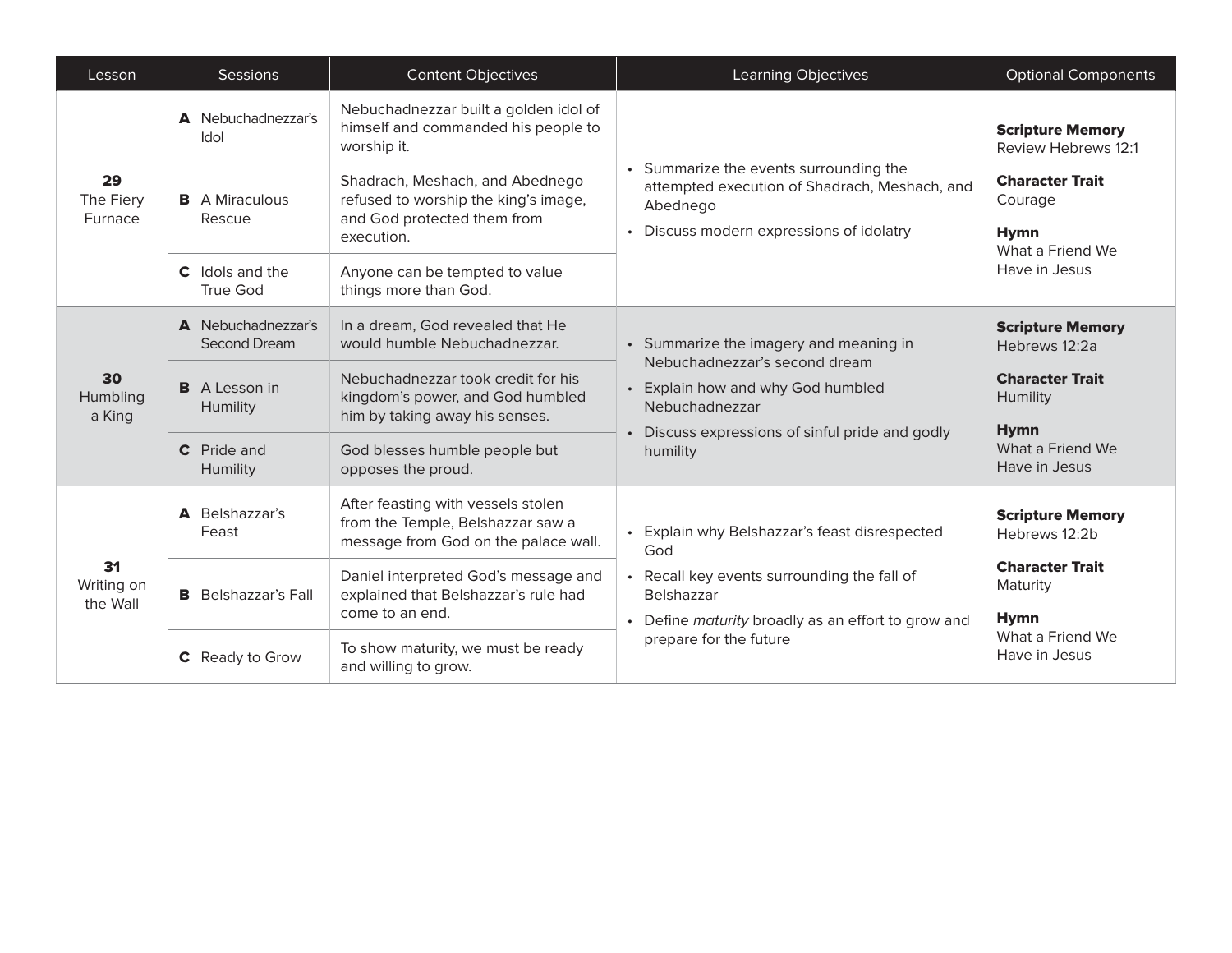| Lesson                       | <b>Sessions</b>                           | <b>Content Objectives</b>                                                                                            | Learning Objectives                                                                                                                                                                           | <b>Optional Components</b>                                           |
|------------------------------|-------------------------------------------|----------------------------------------------------------------------------------------------------------------------|-----------------------------------------------------------------------------------------------------------------------------------------------------------------------------------------------|----------------------------------------------------------------------|
| 29<br>The Fiery<br>Furnace   | A Nebuchadnezzar's<br>Idol                | Nebuchadnezzar built a golden idol of<br>himself and commanded his people to<br>worship it.                          | • Summarize the events surrounding the<br>attempted execution of Shadrach, Meshach, and<br>Abednego<br>• Discuss modern expressions of idolatry                                               | <b>Scripture Memory</b><br><b>Review Hebrews 12:1</b>                |
|                              | <b>B</b> A Miraculous<br>Rescue           | Shadrach, Meshach, and Abednego<br>refused to worship the king's image,<br>and God protected them from<br>execution. |                                                                                                                                                                                               | <b>Character Trait</b><br>Courage<br><b>Hymn</b><br>What a Friend We |
|                              | <b>C</b> Idols and the<br>True God        | Anyone can be tempted to value<br>things more than God.                                                              |                                                                                                                                                                                               | Have in Jesus                                                        |
|                              | A Nebuchadnezzar's<br><b>Second Dream</b> | In a dream, God revealed that He<br>would humble Nebuchadnezzar.                                                     | • Summarize the imagery and meaning in<br>Nebuchadnezzar's second dream<br>• Explain how and why God humbled<br>Nebuchadnezzar<br>• Discuss expressions of sinful pride and godly<br>humility | <b>Scripture Memory</b><br>Hebrews 12:2a                             |
| 30<br>Humbling<br>a King     | <b>B</b> A Lesson in<br>Humility          | Nebuchadnezzar took credit for his<br>kingdom's power, and God humbled<br>him by taking away his senses.             |                                                                                                                                                                                               | <b>Character Trait</b><br>Humility<br><b>Hymn</b>                    |
|                              | <b>C</b> Pride and<br>Humility            | God blesses humble people but<br>opposes the proud.                                                                  |                                                                                                                                                                                               | What a Friend We<br>Have in Jesus                                    |
| 31<br>Writing on<br>the Wall | <b>A</b> Belshazzar's<br>Feast            | After feasting with vessels stolen<br>from the Temple, Belshazzar saw a<br>message from God on the palace wall.      | Explain why Belshazzar's feast disrespected<br>God<br>• Recall key events surrounding the fall of<br>Belshazzar<br>• Define maturity broadly as an effort to grow and                         | <b>Scripture Memory</b><br>Hebrews 12:2b                             |
|                              | <b>B</b> Belshazzar's Fall                | Daniel interpreted God's message and<br>explained that Belshazzar's rule had<br>come to an end.                      |                                                                                                                                                                                               | <b>Character Trait</b><br>Maturity<br><b>Hymn</b>                    |
|                              | <b>C</b> Ready to Grow                    | To show maturity, we must be ready<br>and willing to grow.                                                           | prepare for the future                                                                                                                                                                        | What a Friend We<br>Have in Jesus                                    |